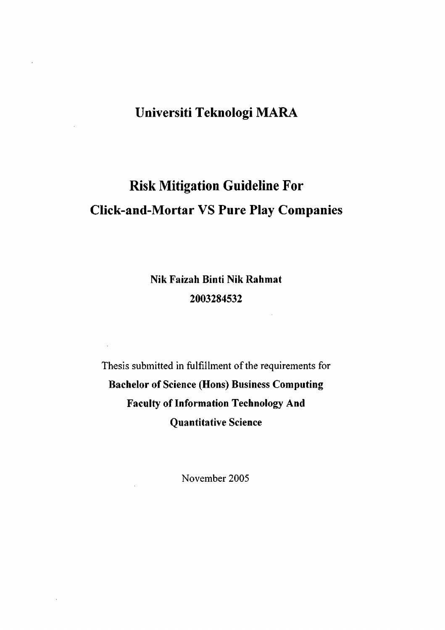# **Universiti Teknologi MARA**

# **Risk Mitigation Guideline For Click-and-Mortar VS Pure Play Companies**

**Nik Faizah Binti Nik Rahmat 2003284532** 

 $\mathcal{L}_{\mathrm{eff}}$ 

Thesis submitted in fulfillment of the requirements for **Bachelor of Science (Hons) Business Computing Faculty of Information Technology And Quantitative Science** 

November 2005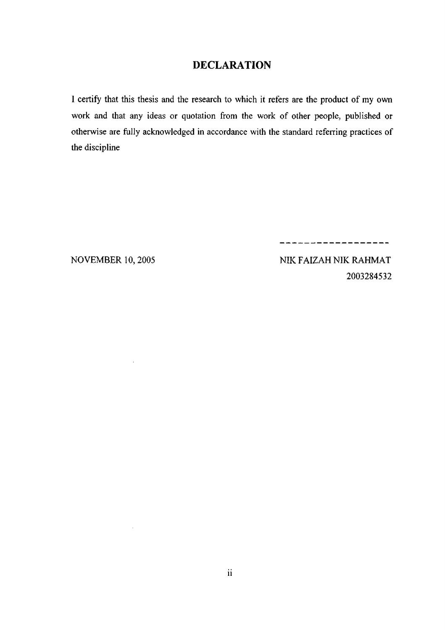#### DECLARATION

I certify that this thesis and the research to which it refers are the product of my own work and that any ideas or quotation from the work of other people, published or otherwise are fully acknowledged in accordance with the standard referring practices of the discipline

 $\hat{\mathcal{A}}$ 

 $\sim$ 

NOVEMBER 10, 2005 NIK FAIZAH NIK RAHMAT

2003284532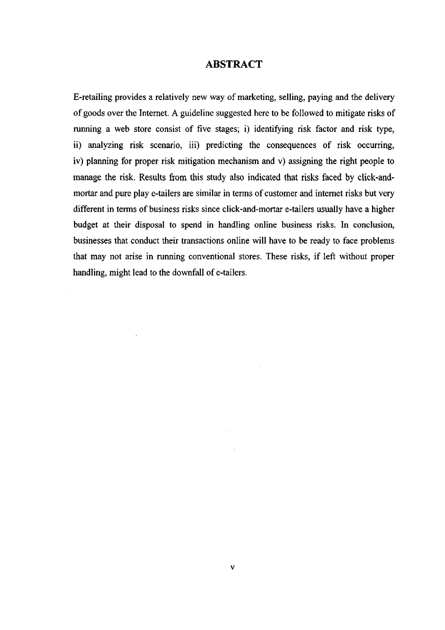#### ABSTRACT

E-retailing provides a relatively new way of marketing, selling, paying and the delivery of goods over the Internet. A guideline suggested here to be followed to mitigate risks of running a web store consist of five stages; i) identifying risk factor and risk type, ii) analyzing risk scenario, iii) predicting the consequences of risk occurring, iv) planning for proper risk mitigation mechanism and v) assigning the right people to manage the risk. Results from this study also indicated that risks faced by click-andmortar and pure play e-tailers are similar in terms of customer and internet risks but very different in terms of business risks since click-and-mortar e-tailers usually have a higher budget at their disposal to spend in handling online business risks. In conclusion, businesses that conduct their transactions online will have to be ready to face problems that may not arise in running conventional stores. These risks, if left without proper handling, might lead to the downfall of e-tailers.

 $\hat{\mathcal{A}}$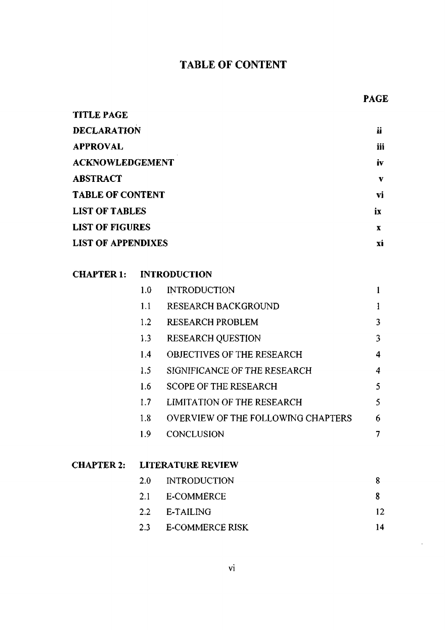# TABLE OF CONTENT

# **PAGE**

| <b>TITLE PAGE</b>         |     |
|---------------------------|-----|
| <b>DECLARATION</b>        | ij  |
| <b>APPROVAL</b>           | iii |
| <b>ACKNOWLEDGEMENT</b>    | iv  |
| <b>ABSTRACT</b>           | v   |
| <b>TABLE OF CONTENT</b>   | vi  |
| <b>LIST OF TABLES</b>     | ix  |
| <b>LIST OF FIGURES</b>    | x   |
| <b>LIST OF APPENDIXES</b> | XÌ  |

# **CHAPTER 1: INTRODUCTION**

| 1.0 | <b>INTRODUCTION</b>                       |   |
|-----|-------------------------------------------|---|
| 1.1 | RESEARCH BACKGROUND                       |   |
| 1.2 | <b>RESEARCH PROBLEM</b>                   | 3 |
| 1.3 | <b>RESEARCH QUESTION</b>                  | 3 |
| 1.4 | <b>OBJECTIVES OF THE RESEARCH</b>         | 4 |
| 1.5 | SIGNIFICANCE OF THE RESEARCH              | 4 |
| 1.6 | <b>SCOPE OF THE RESEARCH</b>              | 5 |
| 1.7 | <b>LIMITATION OF THE RESEARCH</b>         | 5 |
| 1.8 | <b>OVERVIEW OF THE FOLLOWING CHAPTERS</b> | 6 |
| 19  | CONCLUSION                                |   |
|     |                                           |   |

### **CHAPTER 2: LITERATURE REVIEW**

|     | 2.0 INTRODUCTION |     |
|-----|------------------|-----|
|     | 2.1 E-COMMERCE   | Х   |
|     | 2.2 E-TAILING    | 12. |
| 2.3 | E-COMMERCE RISK  | 14  |